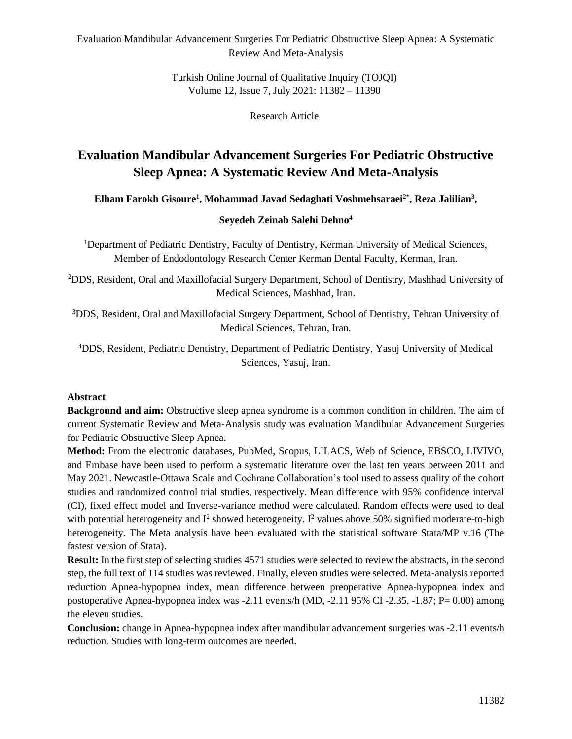Turkish Online Journal of Qualitative Inquiry (TOJQI) Volume 12, Issue 7, July 2021: 11382 – 11390

Research Article

# **Evaluation Mandibular Advancement Surgeries For Pediatric Obstructive Sleep Apnea: A Systematic Review And Meta-Analysis**

**Elham Farokh Gisoure<sup>1</sup> , Mohammad Javad Sedaghati Voshmehsaraei2\*, Reza Jalilian<sup>3</sup> ,** 

#### **Seyedeh Zeinab Salehi Dehno<sup>4</sup>**

<sup>1</sup>Department of Pediatric Dentistry, Faculty of Dentistry, Kerman University of Medical Sciences, Member of Endodontology Research Center Kerman Dental Faculty, Kerman, Iran.

<sup>2</sup>DDS, Resident, Oral and Maxillofacial Surgery Department, School of Dentistry, Mashhad University of Medical Sciences, Mashhad, Iran.

<sup>3</sup>DDS, Resident, Oral and Maxillofacial Surgery Department, School of Dentistry, Tehran University of Medical Sciences, Tehran, Iran.

<sup>4</sup>DDS, Resident, Pediatric Dentistry, Department of Pediatric Dentistry, Yasuj University of Medical Sciences, Yasuj, Iran.

#### **Abstract**

**Background and aim:** Obstructive sleep apnea syndrome is a common condition in children. The aim of current Systematic Review and Meta-Analysis study was evaluation Mandibular Advancement Surgeries for Pediatric Obstructive Sleep Apnea.

**Method:** From the electronic databases, PubMed, Scopus, LILACS, Web of Science, EBSCO, LIVIVO, and Embase have been used to perform a systematic literature over the last ten years between 2011 and May 2021. Newcastle-Ottawa Scale and Cochrane Collaboration's tool used to assess quality of the cohort studies and randomized control trial studies, respectively. Mean difference with 95% confidence interval (CI), fixed effect model and Inverse-variance method were calculated. Random effects were used to deal with potential heterogeneity and  $I^2$  showed heterogeneity.  $I^2$  values above 50% signified moderate-to-high heterogeneity. The Meta analysis have been evaluated with the statistical software Stata/MP v.16 (The fastest version of Stata).

**Result:** In the first step of selecting studies 4571 studies were selected to review the abstracts, in the second step, the full text of 114 studies was reviewed. Finally, eleven studies were selected. Meta-analysis reported reduction Apnea-hypopnea index, mean difference between preoperative Apnea-hypopnea index and postoperative Apnea-hypopnea index was -2.11 events/h (MD, -2.11 95% CI -2.35, -1.87; P= 0.00) among the eleven studies.

**Conclusion:** change in Apnea-hypopnea index after mandibular advancement surgeries was -2.11 events/h reduction. Studies with long-term outcomes are needed.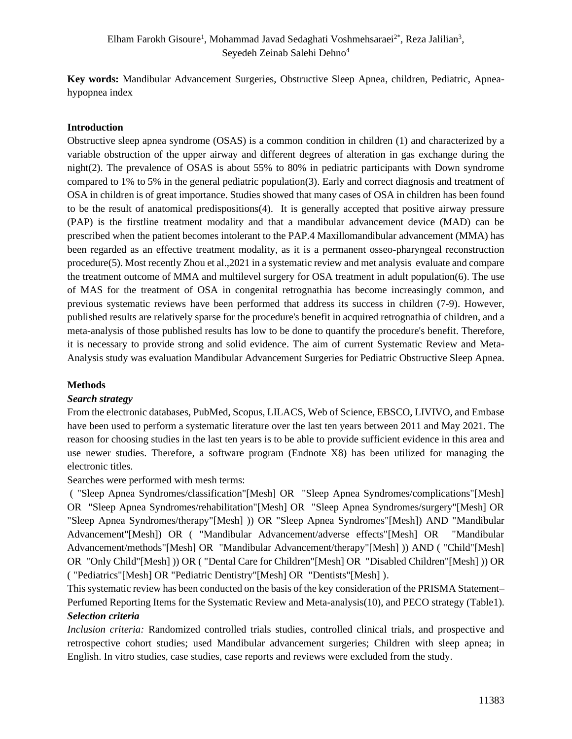**Key words:** Mandibular Advancement Surgeries, Obstructive Sleep Apnea, children, Pediatric, Apneahypopnea index

#### **Introduction**

Obstructive sleep apnea syndrome (OSAS) is a common condition in children (1) and characterized by a variable obstruction of the upper airway and different degrees of alteration in gas exchange during the night(2). The prevalence of OSAS is about 55% to 80% in pediatric participants with Down syndrome compared to 1% to 5% in the general pediatric population(3). Early and correct diagnosis and treatment of OSA in children is of great importance. Studies showed that many cases of OSA in children has been found to be the result of anatomical predispositions(4). It is generally accepted that positive airway pressure (PAP) is the firstline treatment modality and that a mandibular advancement device (MAD) can be prescribed when the patient becomes intolerant to the PAP.4 Maxillomandibular advancement (MMA) has been regarded as an effective treatment modality, as it is a permanent osseo-pharyngeal reconstruction procedure(5). Most recently Zhou et al.,2021 in a systematic review and met analysis evaluate and compare the treatment outcome of MMA and multilevel surgery for OSA treatment in adult population(6). The use of MAS for the treatment of OSA in congenital retrognathia has become increasingly common, and previous systematic reviews have been performed that address its success in children (7-9). However, published results are relatively sparse for the procedure's benefit in acquired retrognathia of children, and a meta-analysis of those published results has low to be done to quantify the procedure's benefit. Therefore, it is necessary to provide strong and solid evidence. The aim of current Systematic Review and Meta-Analysis study was evaluation Mandibular Advancement Surgeries for Pediatric Obstructive Sleep Apnea.

#### **Methods**

#### *Search strategy*

From the electronic databases, PubMed, Scopus, LILACS, Web of Science, EBSCO, LIVIVO, and Embase have been used to perform a systematic literature over the last ten years between 2011 and May 2021. The reason for choosing studies in the last ten years is to be able to provide sufficient evidence in this area and use newer studies. Therefore, a software program (Endnote X8) has been utilized for managing the electronic titles.

Searches were performed with mesh terms:

( "Sleep Apnea Syndromes/classification"[Mesh] OR "Sleep Apnea Syndromes/complications"[Mesh] OR "Sleep Apnea Syndromes/rehabilitation"[Mesh] OR "Sleep Apnea Syndromes/surgery"[Mesh] OR "Sleep Apnea Syndromes/therapy"[Mesh] )) OR "Sleep Apnea Syndromes"[Mesh]) AND "Mandibular Advancement"[Mesh]) OR ( "Mandibular Advancement/adverse effects"[Mesh] OR "Mandibular Advancement/methods"[Mesh] OR "Mandibular Advancement/therapy"[Mesh] )) AND ( "Child"[Mesh] OR "Only Child"[Mesh] )) OR ( "Dental Care for Children"[Mesh] OR "Disabled Children"[Mesh] )) OR ( "Pediatrics"[Mesh] OR "Pediatric Dentistry"[Mesh] OR "Dentists"[Mesh] ).

This systematic review has been conducted on the basis of the key consideration of the PRISMA Statement– Perfumed Reporting Items for the Systematic Review and Meta-analysis(10), and PECO strategy (Table1). *Selection criteria*

*Inclusion criteria:* Randomized controlled trials studies, controlled clinical trials, and prospective and retrospective cohort studies; used Mandibular advancement surgeries; Children with sleep apnea; in English. In vitro studies, case studies, case reports and reviews were excluded from the study.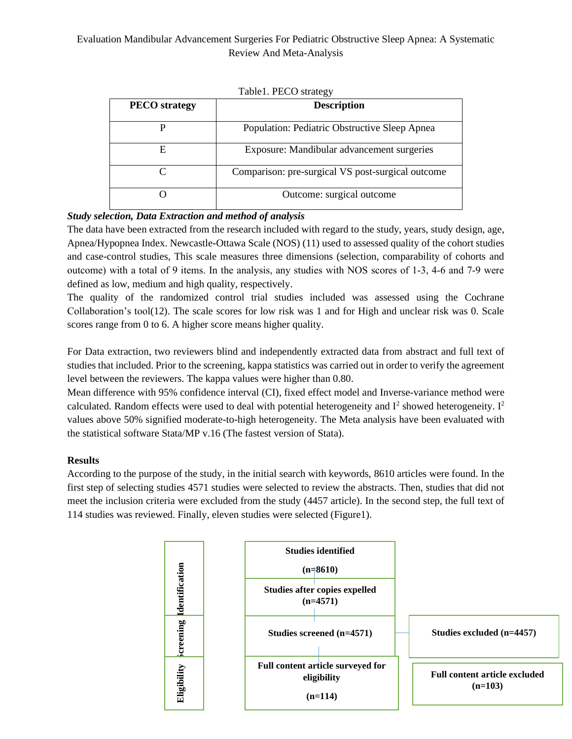| $\cdots$             |                                                   |  |  |  |  |  |  |  |  |
|----------------------|---------------------------------------------------|--|--|--|--|--|--|--|--|
| <b>PECO</b> strategy | <b>Description</b>                                |  |  |  |  |  |  |  |  |
|                      | Population: Pediatric Obstructive Sleep Apnea     |  |  |  |  |  |  |  |  |
| F.                   | Exposure: Mandibular advancement surgeries        |  |  |  |  |  |  |  |  |
|                      | Comparison: pre-surgical VS post-surgical outcome |  |  |  |  |  |  |  |  |
|                      | Outcome: surgical outcome                         |  |  |  |  |  |  |  |  |

Table1. PECO strategy

## *Study selection, Data Extraction and method of analysis*

The data have been extracted from the research included with regard to the study, years, study design, age, Apnea/Hypopnea Index. Newcastle-Ottawa Scale (NOS) (11) used to assessed quality of the cohort studies and case-control studies, This scale measures three dimensions (selection, comparability of cohorts and outcome) with a total of 9 items. In the analysis, any studies with NOS scores of 1‐3, 4‐6 and 7‐9 were defined as low, medium and high quality, respectively.

The quality of the randomized control trial studies included was assessed using the Cochrane Collaboration's tool(12). The scale scores for low risk was 1 and for High and unclear risk was 0. Scale scores range from 0 to 6. A higher score means higher quality.

For Data extraction, two reviewers blind and independently extracted data from abstract and full text of studies that included. Prior to the screening, kappa statistics was carried out in order to verify the agreement level between the reviewers. The kappa values were higher than 0.80.

Mean difference with 95% confidence interval (CI), fixed effect model and Inverse-variance method were calculated. Random effects were used to deal with potential heterogeneity and  $I^2$  showed heterogeneity.  $I^2$ values above 50% signified moderate-to-high heterogeneity. The Meta analysis have been evaluated with the statistical software Stata/MP v.16 (The fastest version of Stata).

#### **Results**

According to the purpose of the study, in the initial search with keywords, 8610 articles were found. In the first step of selecting studies 4571 studies were selected to review the abstracts. Then, studies that did not meet the inclusion criteria were excluded from the study (4457 article). In the second step, the full text of 114 studies was reviewed. Finally, eleven studies were selected (Figure1).

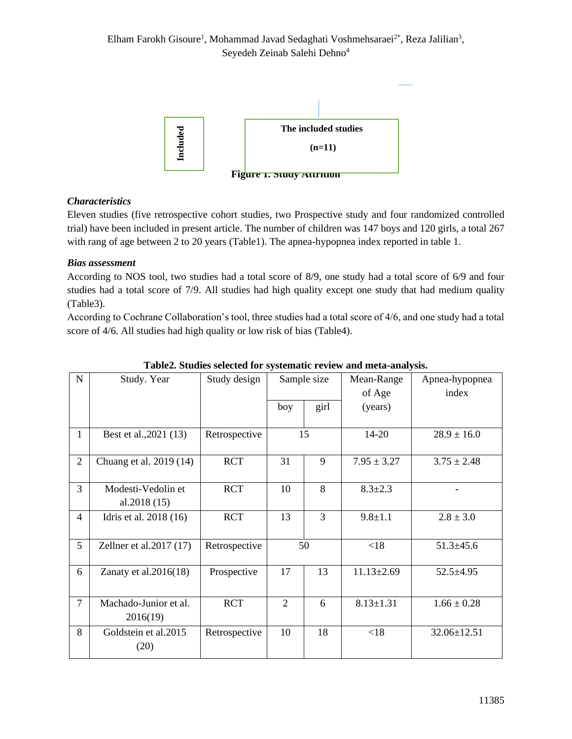

# *Characteristics*

Eleven studies (five retrospective cohort studies, two Prospective study and four randomized controlled trial) have been included in present article. The number of children was 147 boys and 120 girls, a total 267 with rang of age between 2 to 20 years (Table1). The apnea-hypopnea index reported in table 1.

## *Bias assessment*

According to NOS tool, two studies had a total score of 8/9, one study had a total score of 6/9 and four studies had a total score of 7/9. All studies had high quality except one study that had medium quality (Table3).

According to Cochrane Collaboration's tool, three studies had a total score of 4/6, and one study had a total score of 4/6. All studies had high quality or low risk of bias (Table4).

| $\mathbf N$     | Study. Year               | Study design          |                | Sample size   | Mean-Range       | Apnea-hypopnea  |
|-----------------|---------------------------|-----------------------|----------------|---------------|------------------|-----------------|
|                 |                           |                       |                |               | of Age           | index           |
|                 |                           |                       | boy            | girl          | (years)          |                 |
|                 |                           |                       |                |               |                  |                 |
| $\mathbf{1}$    | Best et al., 2021 (13)    | Retrospective         | 15             |               | $14 - 20$        | $28.9 \pm 16.0$ |
|                 |                           |                       |                |               |                  |                 |
| $\overline{2}$  | Chuang et al. 2019 (14)   | <b>RCT</b>            | 31             | 9             | $7.95 \pm 3.27$  | $3.75 \pm 2.48$ |
| 3               | Modesti-Vedolin et        | 8<br><b>RCT</b><br>10 |                | $8.3 \pm 2.3$ |                  |                 |
|                 | al. $2018(15)$            |                       |                |               |                  |                 |
| $\overline{4}$  | Idris et al. 2018 (16)    | <b>RCT</b>            | 13             | 3             | $9.8 \pm 1.1$    | $2.8 \pm 3.0$   |
|                 |                           |                       |                |               |                  |                 |
| $5\overline{)}$ | Zellner et al. $2017(17)$ | Retrospective         |                | 50            | < 18             | $51.3 \pm 45.6$ |
| 6               | Zanaty et al. $2016(18)$  | Prospective           | 17             | 13            | $11.13 \pm 2.69$ | $52.5 + 4.95$   |
|                 |                           |                       |                |               |                  |                 |
| $\overline{7}$  | Machado-Junior et al.     | <b>RCT</b>            | $\overline{2}$ | 6             | $8.13 \pm 1.31$  | $1.66 \pm 0.28$ |
|                 | 2016(19)                  |                       |                |               |                  |                 |
| 8               | Goldstein et al.2015      | Retrospective         | 10             | 18            | < 18             | 32.06±12.51     |
|                 | (20)                      |                       |                |               |                  |                 |

## **Table2. Studies selected for systematic review and meta-analysis.**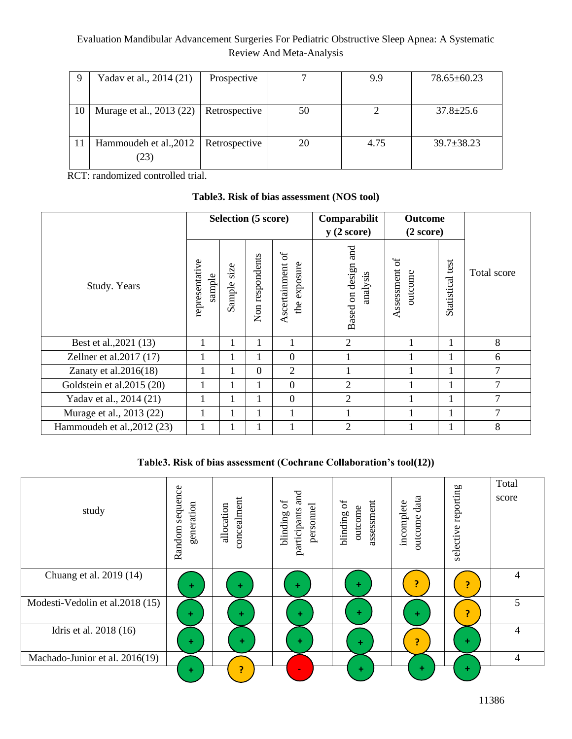|    | Yadav et al., 2014 (21)  | Prospective   |    | 9.9  | $78.65 \pm 60.23$ |
|----|--------------------------|---------------|----|------|-------------------|
|    |                          |               |    |      |                   |
| 10 | Murage et al., 2013 (22) | Retrospective | 50 |      | $37.8 \pm 25.6$   |
|    |                          |               |    |      |                   |
| 11 | Hammoudeh et al., 2012   | Retrospective | 20 | 4.75 | $39.7 \pm 38.23$  |
|    | (23)                     |               |    |      |                   |

RCT: randomized controlled trial.

# **Table3. Risk of bias assessment (NOS tool)**

|                             |                          | <b>Selection (5 score)</b> |                 |                                      | Comparabilit<br>y(2 score)         | <b>Outcome</b><br>(2 score)       |                  |                |
|-----------------------------|--------------------------|----------------------------|-----------------|--------------------------------------|------------------------------------|-----------------------------------|------------------|----------------|
| Study. Years                | representative<br>sample | size<br>Sample             | Non respondents | Ascertainment of<br>exposure<br>the, | and<br>Based on design<br>analysis | $\sigma$<br>Assessment<br>putcome | Statistical test | Total score    |
| Best et al., 2021 (13)      |                          | 1                          | 1               | 1                                    | 2                                  |                                   | $\mathbf{1}$     | 8              |
| Zellner et al.2017 (17)     |                          |                            |                 | $\theta$                             |                                    |                                   |                  | 6              |
| Zanaty et al. $2016(18)$    |                          |                            | $\overline{0}$  | $\overline{2}$                       |                                    |                                   | 1                | $\overline{7}$ |
| Goldstein et al.2015 (20)   |                          |                            | 1               | $\overline{0}$                       | 2                                  |                                   | 1                | $\overline{7}$ |
| Yadav et al., 2014 (21)     |                          |                            | 1               | $\theta$                             | 2                                  |                                   | 1                | $\overline{7}$ |
| Murage et al., 2013 (22)    |                          | 1                          | 1               | 1                                    |                                    |                                   | 1                | $\overline{7}$ |
| Hammoudeh et al., 2012 (23) |                          |                            |                 |                                      | $\overline{2}$                     |                                   |                  | 8              |

# **Table3. Risk of bias assessment (Cochrane Collaboration's tool(12))**

| study                           | sequence<br>generation<br>Random | concealment<br>allocation | and<br>$\sigma$<br>personnel<br>participants<br>blinding | blinding of<br>assessment<br>outcome | data<br>incomplete<br>outcome | selective reporting | Total<br>score |
|---------------------------------|----------------------------------|---------------------------|----------------------------------------------------------|--------------------------------------|-------------------------------|---------------------|----------------|
| Chuang et al. 2019 (14)         | ÷                                | ÷                         | ÷                                                        | ÷                                    | э                             | 7                   | 4              |
| Modesti-Vedolin et al.2018 (15) | ÷                                | ÷                         | ÷                                                        | ÷                                    | ÷                             |                     | 5              |
| Idris et al. 2018 (16)          | ÷                                | ÷                         | ٠                                                        | ÷                                    | 7                             | ÷                   | $\overline{4}$ |
| Machado-Junior et al. 2016(19)  |                                  |                           |                                                          |                                      |                               |                     | 4              |
|                                 | ÷                                |                           | $\blacksquare$                                           | ÷                                    | ÷                             | $\pm$               |                |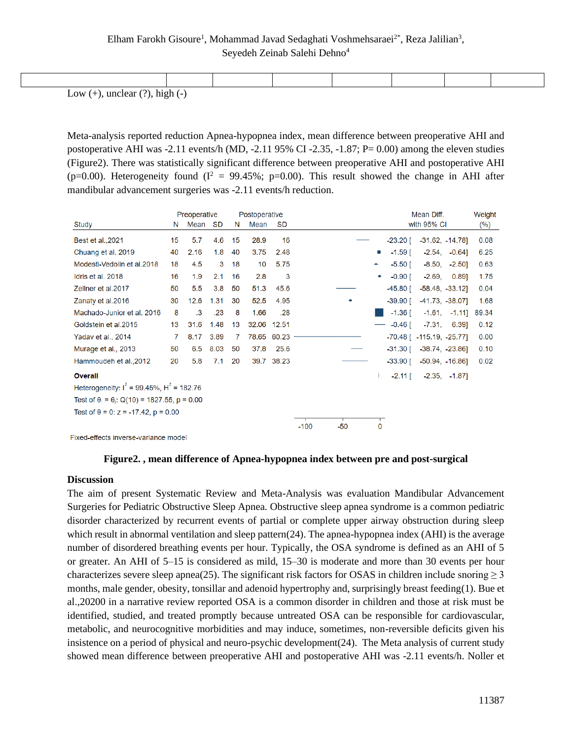| $\mathbf{I}$ and $(\cdot)$ and $\mathbf{I}$ and $(\mathbf{0})$ $\mathbf{L}$ and $(\cdot)$ |  |  |  |  |  |  |  |  |  |  |
|-------------------------------------------------------------------------------------------|--|--|--|--|--|--|--|--|--|--|

Low  $(+)$ , unclear  $(?)$ , high  $(-)$ 

Meta-analysis reported reduction Apnea-hypopnea index, mean difference between preoperative AHI and postoperative AHI was -2.11 events/h (MD, -2.11 95% CI -2.35, -1.87; P= 0.00) among the eleven studies (Figure2). There was statistically significant difference between preoperative AHI and postoperative AHI (p=0.00). Heterogeneity found ( $I^2 = 99.45\%$ ; p=0.00). This result showed the change in AHI after mandibular advancement surgeries was -2.11 events/h reduction.

|                                                           |    | Preoperative |           | Postoperative |       |            |                 |           | Mean Diff.                        | Weight |
|-----------------------------------------------------------|----|--------------|-----------|---------------|-------|------------|-----------------|-----------|-----------------------------------|--------|
| Study                                                     | N  | Mean         | <b>SD</b> | N             | Mean  | <b>SD</b>  |                 |           | with 95% CI                       | $(\%)$ |
| Best et al., 2021                                         | 15 | 5.7          | 4.6       | 15            | 28.9  | 16         |                 | -23.20 [  | $-31.62, -14.78$                  | 0.08   |
| Chuang et al. 2019                                        | 40 | 2.16         | 1.8       | 40            | 3.75  | 2.48       |                 | $-1.59$ [ | $-2.54$ , $-0.64$ ]               | 6.25   |
| Modesti-Vedolin et al.2018                                | 18 | 4.5          | 3         | 18            | 10    | 5.75       |                 | $-5.50$ [ | $-8.50,$<br>$-2.50$ ]             | 0.63   |
| Idris et al. 2018                                         | 16 | 1.9          | 2.1       | 16            | 2.8   | 3          |                 | $-0.90$ [ | $-2.69,$<br>0.891                 | 1.75   |
| Zellner et al.2017                                        | 50 | 5.5          | 3.8       | 50            | 51.3  | 45.6       |                 | -45.80 [  | $-58.48, -33.12$                  | 0.04   |
| Zanaty et al.2016                                         | 30 | 12.6         | 1.31      | 30            | 52.5  | 4.95       |                 | -39.90 [  | $-41.73, -38.07$                  | 1.68   |
| Machado-Junior et al. 2016                                | 8  | $\cdot$ 3    | .23       | 8             | 1.66  | .28        |                 | $-1.36$ [ | $-1.61, -1.11$                    | 89.34  |
| Goldstein et al. 2015                                     | 13 | 31.6         | 1.48      | 13            | 32.06 | 12.51      |                 | $-0.46$ [ | -7.31.<br>6.39]                   | 0.12   |
| Yadav et al., 2014                                        | 7  | 8.17         | 3.89      | 7             | 78.65 | 60.23      |                 |           | $-70.48$ [ $-115.19$ , $-25.77$ ] | 0.00   |
| Murage et al., 2013                                       | 50 | 6.5          | 8.03      | 50            | 37.8  | 25.6       |                 | -31.30 [  | $-38.74, -23.86$                  | 0.10   |
| Hammoudeh et al., 2012                                    | 20 | 5.8          | 7.1       | 20            |       | 39.7 38.23 |                 | -33.90 [  | $-50.94, -16.86$                  | 0.02   |
| <b>Overall</b>                                            |    |              |           |               |       |            |                 | $-2.11$ [ | $-2.35, -1.87$                    |        |
| Heterogeneity: $I^2$ = 99.45%, $H^2$ = 182.76             |    |              |           |               |       |            |                 |           |                                   |        |
| Test of $\theta_i = \theta_i$ : Q(10) = 1827.55, p = 0.00 |    |              |           |               |       |            |                 |           |                                   |        |
| Test of $\theta$ = 0: z = -17.42, p = 0.00                |    |              |           |               |       |            |                 |           |                                   |        |
|                                                           |    |              |           |               |       |            | $-100$<br>$-50$ | 0         |                                   |        |

Fixed-effects inverse-variance model

**Figure2. , mean difference of Apnea-hypopnea index between pre and post-surgical**

#### **Discussion**

The aim of present Systematic Review and Meta-Analysis was evaluation Mandibular Advancement Surgeries for Pediatric Obstructive Sleep Apnea. Obstructive sleep apnea syndrome is a common pediatric disorder characterized by recurrent events of partial or complete upper airway obstruction during sleep which result in abnormal ventilation and sleep pattern(24). The apnea-hypopnea index (AHI) is the average number of disordered breathing events per hour. Typically, the OSA syndrome is defined as an AHI of 5 or greater. An AHI of 5–15 is considered as mild, 15–30 is moderate and more than 30 events per hour characterizes severe sleep apnea(25). The significant risk factors for OSAS in children include snoring  $\geq 3$ months, male gender, obesity, tonsillar and adenoid hypertrophy and, surprisingly breast feeding(1). Bue et al.,20200 in a narrative review reported OSA is a common disorder in children and those at risk must be identified, studied, and treated promptly because untreated OSA can be responsible for cardiovascular, metabolic, and neurocognitive morbidities and may induce, sometimes, non-reversible deficits given his insistence on a period of physical and neuro-psychic development(24). The Meta analysis of current study showed mean difference between preoperative AHI and postoperative AHI was -2.11 events/h. Noller et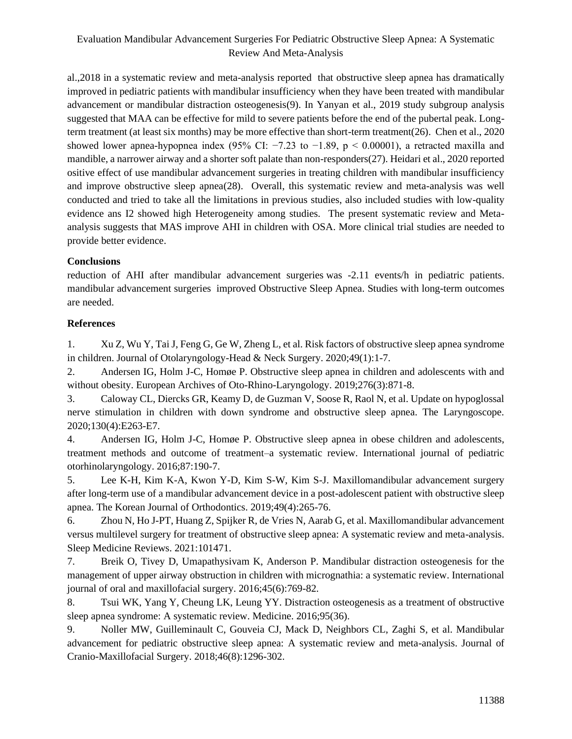al.,2018 in a systematic review and meta-analysis reported that obstructive sleep apnea has dramatically improved in pediatric patients with mandibular insufficiency when they have been treated with mandibular advancement or mandibular distraction osteogenesis(9). In Yanyan et al., 2019 study subgroup analysis suggested that MAA can be effective for mild to severe patients before the end of the pubertal peak. Longterm treatment (at least six months) may be more effective than short-term treatment(26). Chen et al., 2020 showed lower apnea-hypopnea index (95% CI:  $-7.23$  to  $-1.89$ , p < 0.00001), a retracted maxilla and mandible, a narrower airway and a shorter soft palate than non-responders(27). Heidari et al., 2020 reported ositive effect of use mandibular advancement surgeries in treating children with mandibular insufficiency and improve obstructive sleep apnea(28). Overall, this systematic review and meta-analysis was well conducted and tried to take all the limitations in previous studies, also included studies with low-quality evidence ans I2 showed high Heterogeneity among studies. The present systematic review and Metaanalysis suggests that MAS improve AHI in children with OSA. More clinical trial studies are needed to provide better evidence.

#### **Conclusions**

reduction of AHI after mandibular advancement surgeries was -2.11 events/h in pediatric patients. mandibular advancement surgeries improved Obstructive Sleep Apnea. Studies with long-term outcomes are needed.

#### **References**

1. Xu Z, Wu Y, Tai J, Feng G, Ge W, Zheng L, et al. Risk factors of obstructive sleep apnea syndrome in children. Journal of Otolaryngology-Head & Neck Surgery. 2020;49(1):1-7.

2. Andersen IG, Holm J-C, Homøe P. Obstructive sleep apnea in children and adolescents with and without obesity. European Archives of Oto-Rhino-Laryngology. 2019;276(3):871-8.

3. Caloway CL, Diercks GR, Keamy D, de Guzman V, Soose R, Raol N, et al. Update on hypoglossal nerve stimulation in children with down syndrome and obstructive sleep apnea. The Laryngoscope. 2020;130(4):E263-E7.

4. Andersen IG, Holm J-C, Homøe P. Obstructive sleep apnea in obese children and adolescents, treatment methods and outcome of treatment–a systematic review. International journal of pediatric otorhinolaryngology. 2016;87:190-7.

5. Lee K-H, Kim K-A, Kwon Y-D, Kim S-W, Kim S-J. Maxillomandibular advancement surgery after long-term use of a mandibular advancement device in a post-adolescent patient with obstructive sleep apnea. The Korean Journal of Orthodontics. 2019;49(4):265-76.

6. Zhou N, Ho J-PT, Huang Z, Spijker R, de Vries N, Aarab G, et al. Maxillomandibular advancement versus multilevel surgery for treatment of obstructive sleep apnea: A systematic review and meta-analysis. Sleep Medicine Reviews. 2021:101471.

7. Breik O, Tivey D, Umapathysivam K, Anderson P. Mandibular distraction osteogenesis for the management of upper airway obstruction in children with micrognathia: a systematic review. International journal of oral and maxillofacial surgery. 2016;45(6):769-82.

8. Tsui WK, Yang Y, Cheung LK, Leung YY. Distraction osteogenesis as a treatment of obstructive sleep apnea syndrome: A systematic review. Medicine. 2016;95(36).

9. Noller MW, Guilleminault C, Gouveia CJ, Mack D, Neighbors CL, Zaghi S, et al. Mandibular advancement for pediatric obstructive sleep apnea: A systematic review and meta-analysis. Journal of Cranio-Maxillofacial Surgery. 2018;46(8):1296-302.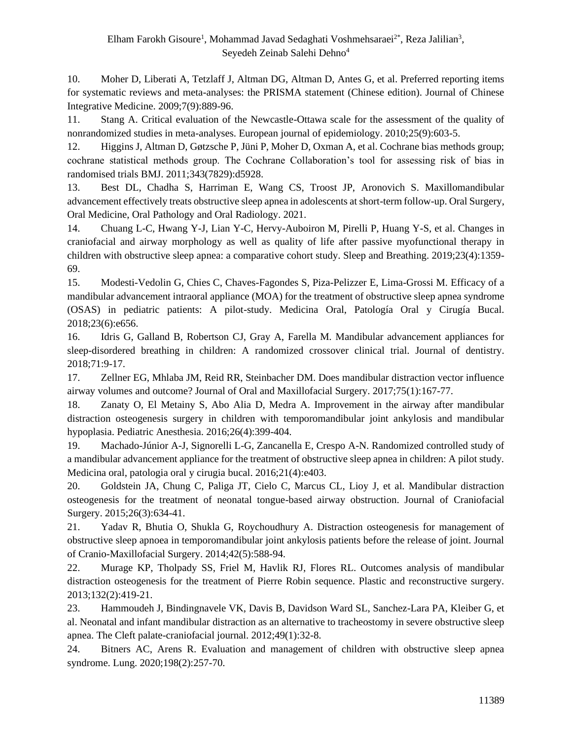10. Moher D, Liberati A, Tetzlaff J, Altman DG, Altman D, Antes G, et al. Preferred reporting items for systematic reviews and meta-analyses: the PRISMA statement (Chinese edition). Journal of Chinese Integrative Medicine. 2009;7(9):889-96.

11. Stang A. Critical evaluation of the Newcastle-Ottawa scale for the assessment of the quality of nonrandomized studies in meta-analyses. European journal of epidemiology. 2010;25(9):603-5.

12. Higgins J, Altman D, Gøtzsche P, Jüni P, Moher D, Oxman A, et al. Cochrane bias methods group; cochrane statistical methods group. The Cochrane Collaboration's tool for assessing risk of bias in randomised trials BMJ. 2011;343(7829):d5928.

13. Best DL, Chadha S, Harriman E, Wang CS, Troost JP, Aronovich S. Maxillomandibular advancement effectively treats obstructive sleep apnea in adolescents at short-term follow-up. Oral Surgery, Oral Medicine, Oral Pathology and Oral Radiology. 2021.

14. Chuang L-C, Hwang Y-J, Lian Y-C, Hervy-Auboiron M, Pirelli P, Huang Y-S, et al. Changes in craniofacial and airway morphology as well as quality of life after passive myofunctional therapy in children with obstructive sleep apnea: a comparative cohort study. Sleep and Breathing. 2019;23(4):1359- 69.

15. Modesti-Vedolin G, Chies C, Chaves-Fagondes S, Piza-Pelizzer E, Lima-Grossi M. Efficacy of a mandibular advancement intraoral appliance (MOA) for the treatment of obstructive sleep apnea syndrome (OSAS) in pediatric patients: A pilot-study. Medicina Oral, Patología Oral y Cirugía Bucal. 2018;23(6):e656.

16. Idris G, Galland B, Robertson CJ, Gray A, Farella M. Mandibular advancement appliances for sleep-disordered breathing in children: A randomized crossover clinical trial. Journal of dentistry. 2018;71:9-17.

17. Zellner EG, Mhlaba JM, Reid RR, Steinbacher DM. Does mandibular distraction vector influence airway volumes and outcome? Journal of Oral and Maxillofacial Surgery. 2017;75(1):167-77.

18. Zanaty O, El Metainy S, Abo Alia D, Medra A. Improvement in the airway after mandibular distraction osteogenesis surgery in children with temporomandibular joint ankylosis and mandibular hypoplasia. Pediatric Anesthesia. 2016;26(4):399-404.

19. Machado-Júnior A-J, Signorelli L-G, Zancanella E, Crespo A-N. Randomized controlled study of a mandibular advancement appliance for the treatment of obstructive sleep apnea in children: A pilot study. Medicina oral, patologia oral y cirugia bucal. 2016;21(4):e403.

20. Goldstein JA, Chung C, Paliga JT, Cielo C, Marcus CL, Lioy J, et al. Mandibular distraction osteogenesis for the treatment of neonatal tongue-based airway obstruction. Journal of Craniofacial Surgery. 2015;26(3):634-41.

21. Yadav R, Bhutia O, Shukla G, Roychoudhury A. Distraction osteogenesis for management of obstructive sleep apnoea in temporomandibular joint ankylosis patients before the release of joint. Journal of Cranio-Maxillofacial Surgery. 2014;42(5):588-94.

22. Murage KP, Tholpady SS, Friel M, Havlik RJ, Flores RL. Outcomes analysis of mandibular distraction osteogenesis for the treatment of Pierre Robin sequence. Plastic and reconstructive surgery. 2013;132(2):419-21.

23. Hammoudeh J, Bindingnavele VK, Davis B, Davidson Ward SL, Sanchez-Lara PA, Kleiber G, et al. Neonatal and infant mandibular distraction as an alternative to tracheostomy in severe obstructive sleep apnea. The Cleft palate-craniofacial journal. 2012;49(1):32-8.

24. Bitners AC, Arens R. Evaluation and management of children with obstructive sleep apnea syndrome. Lung. 2020;198(2):257-70.